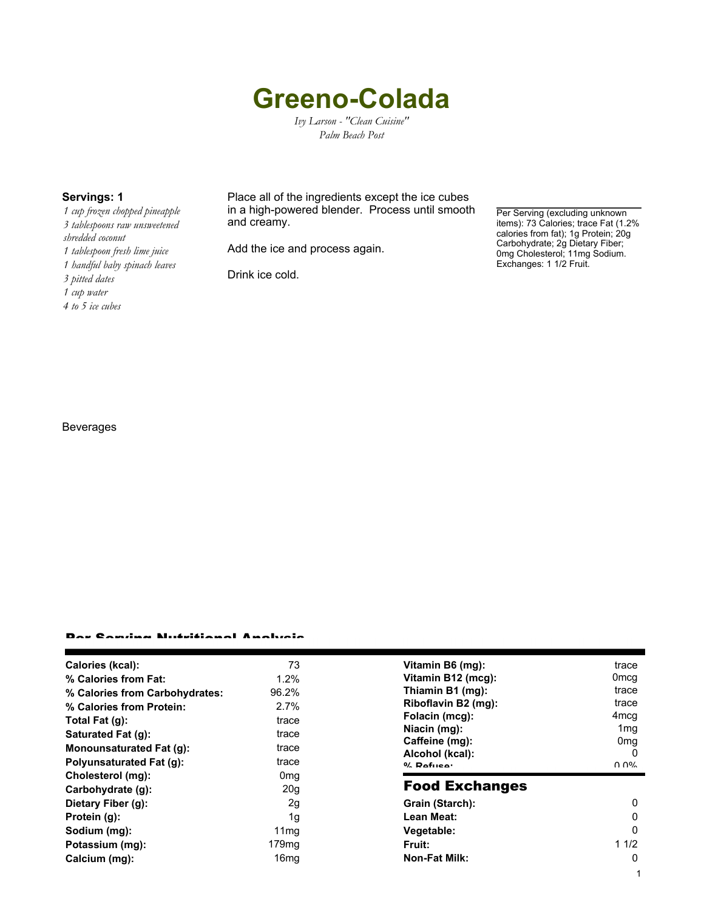# **Greeno-Colada**

*Ivy Larson - "Clean Cuisine" Palm Beach Post*

*1 cup frozen chopped pineapple 3 tablespoons raw unsweetened shredded coconut 1 tablespoon fresh lime juice 1 handful baby spinach leaves 3 pitted dates*

- *1 cup water*
- *4 to 5 ice cubes*

**Servings: 1** Place all of the ingredients except the ice cubes in a high-powered blender. Process until smooth and creamy.

Add the ice and process again.

Drink ice cold.

Per Serving (excluding unknown items): 73 Calories; trace Fat (1.2% calories from fat); 1g Protein; 20g Carbohydrate; 2g Dietary Fiber; 0mg Cholesterol; 11mg Sodium. Exchanges: 1 1/2 Fruit.

1

### Beverages

#### Per Serving Nutritional Analysis

| Calories (kcal):                | 73                | Vitamin B6 (mg):                  | trace                |
|---------------------------------|-------------------|-----------------------------------|----------------------|
| % Calories from Fat:            | 1.2%              | Vitamin B12 (mcg):                | 0 <sub>mcg</sub>     |
| % Calories from Carbohydrates:  | 96.2%             | Thiamin B1 (mg):                  | trace                |
| % Calories from Protein:        | 2.7%              | Riboflavin B2 (mg):               | trace                |
| Total Fat $(q)$ :               | trace             | Folacin (mcg):                    | 4mcg                 |
| Saturated Fat (g):              | trace             | Niacin (mg):                      | 1 <sub>mg</sub>      |
| <b>Monounsaturated Fat (g):</b> | trace             | Caffeine (mg):<br>Alcohol (kcal): | 0 <sub>mg</sub><br>0 |
| Polyunsaturated Fat (q):        | trace             | $0/2$ Pofileo:                    | በ በ%                 |
| Cholesterol (mg):               | 0 <sub>mq</sub>   |                                   |                      |
| Carbohydrate (g):               | 20 <sub>g</sub>   | <b>Food Exchanges</b>             |                      |
| Dietary Fiber (g):              | 2g                | Grain (Starch):                   | 0                    |
| Protein (g):                    | 1g                | Lean Meat:                        | 0                    |
| Sodium (mg):                    | 11 <sub>mq</sub>  | Vegetable:                        | 0                    |
| Potassium (mg):                 | 179 <sub>mq</sub> | Fruit:                            | 11/2                 |
| Calcium (mg):                   | 16 <sub>mq</sub>  | <b>Non-Fat Milk:</b>              | 0                    |
|                                 |                   |                                   |                      |